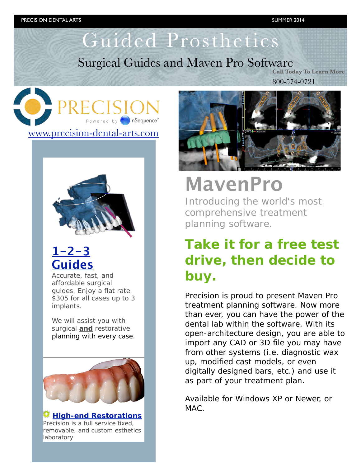## Guided Prosthetics

### Surgical Guides and Maven Pro Software

**Call Today To Learn More** 800-574-0721





### **[1-2-3](http://click.icptrack.com/icp/relay.php?r=6493276&msgid=18861&act=ORM6&c=1451350&destination=http%3A%2F%2Fwww.nsequence.com%2F1-2-3-surgical-guides%2F)  [Guides](http://click.icptrack.com/icp/relay.php?r=6493276&msgid=18861&act=ORM6&c=1451350&destination=http%3A%2F%2Fwww.nsequence.com%2F1-2-3-surgical-guides%2F)**

Accurate, fast, and affordable surgical guides. Enjoy a flat rate \$305 for all cases up to 3 implants.

We will assist you with surgical *and* restorative planning with every case.



**[High-end Restorations](http://click.icptrack.com/icp/relay.php?r=6493276&msgid=18861&act=ORM6&c=1451350&destination=http%3A%2F%2Fwww.nsequence.com%2Fproducts-and-services%2Fdental-restorations%2F)** Precision is a full service fixed, removable, and custom esthetics laboratory



# **MavenPro**

Introducing the world's most comprehensive treatment planning software.

### **Take it for a free test drive, then decide to buy.**

Precision is proud to present Maven Pro treatment planning software. Now more than ever, you can have the power of the dental lab within the software. With its open-architecture design, you are able to import any CAD or 3D file you may have from other systems (i.e. diagnostic wax up, modified cast models, or even digitally designed bars, etc.) and use it as part of your treatment plan.

Available for Windows XP or Newer, or  $MAC.$